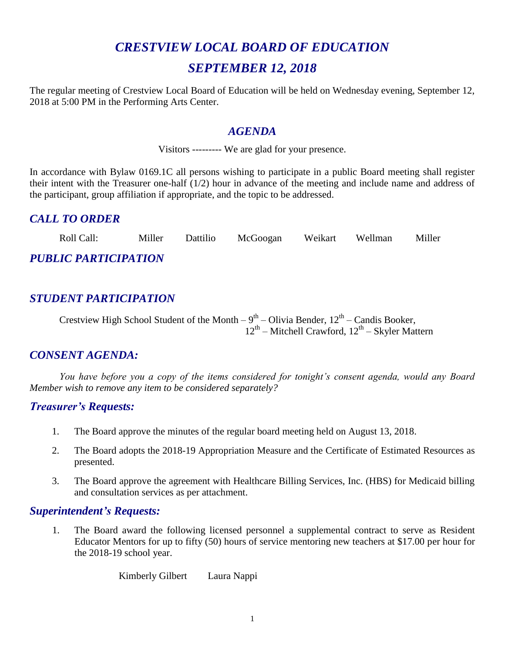# *CRESTVIEW LOCAL BOARD OF EDUCATION SEPTEMBER 12, 2018*

The regular meeting of Crestview Local Board of Education will be held on Wednesday evening, September 12, 2018 at 5:00 PM in the Performing Arts Center.

#### *AGENDA*

Visitors --------- We are glad for your presence.

In accordance with Bylaw 0169.1C all persons wishing to participate in a public Board meeting shall register their intent with the Treasurer one-half (1/2) hour in advance of the meeting and include name and address of the participant, group affiliation if appropriate, and the topic to be addressed.

# *CALL TO ORDER*

Roll Call: Miller Dattilio McGoogan Weikart Wellman Miller *PUBLIC PARTICIPATION*

# *STUDENT PARTICIPATION*

Crestview High School Student of the Month  $-9<sup>th</sup> - Olivia Bender$ ,  $12<sup>th</sup> - Candis Booker$ ,  $12^{th}$  – Mitchell Crawford,  $12^{th}$  – Skyler Mattern

## *CONSENT AGENDA:*

*You have before you a copy of the items considered for tonight's consent agenda, would any Board Member wish to remove any item to be considered separately?*

#### *Treasurer's Requests:*

- 1. The Board approve the minutes of the regular board meeting held on August 13, 2018.
- 2. The Board adopts the 2018-19 Appropriation Measure and the Certificate of Estimated Resources as presented.
- 3. The Board approve the agreement with Healthcare Billing Services, Inc. (HBS) for Medicaid billing and consultation services as per attachment.

#### *Superintendent's Requests:*

1. The Board award the following licensed personnel a supplemental contract to serve as Resident Educator Mentors for up to fifty (50) hours of service mentoring new teachers at \$17.00 per hour for the 2018-19 school year.

Kimberly Gilbert Laura Nappi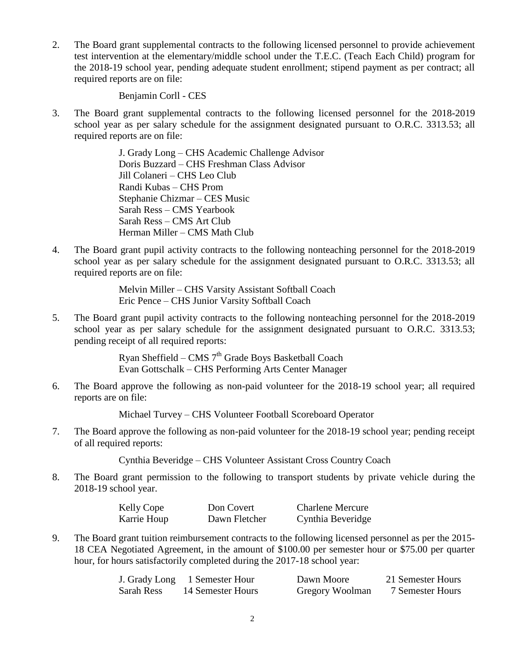2. The Board grant supplemental contracts to the following licensed personnel to provide achievement test intervention at the elementary/middle school under the T.E.C. (Teach Each Child) program for the 2018-19 school year, pending adequate student enrollment; stipend payment as per contract; all required reports are on file:

Benjamin Corll - CES

3. The Board grant supplemental contracts to the following licensed personnel for the 2018-2019 school year as per salary schedule for the assignment designated pursuant to O.R.C. 3313.53; all required reports are on file:

> J. Grady Long – CHS Academic Challenge Advisor Doris Buzzard – CHS Freshman Class Advisor Jill Colaneri – CHS Leo Club Randi Kubas – CHS Prom Stephanie Chizmar – CES Music Sarah Ress – CMS Yearbook Sarah Ress – CMS Art Club Herman Miller – CMS Math Club

4. The Board grant pupil activity contracts to the following nonteaching personnel for the 2018-2019 school year as per salary schedule for the assignment designated pursuant to O.R.C. 3313.53; all required reports are on file:

> Melvin Miller – CHS Varsity Assistant Softball Coach Eric Pence – CHS Junior Varsity Softball Coach

5. The Board grant pupil activity contracts to the following nonteaching personnel for the 2018-2019 school year as per salary schedule for the assignment designated pursuant to O.R.C. 3313.53; pending receipt of all required reports:

> Ryan Sheffield – CMS  $7<sup>th</sup>$  Grade Boys Basketball Coach Evan Gottschalk – CHS Performing Arts Center Manager

6. The Board approve the following as non-paid volunteer for the 2018-19 school year; all required reports are on file:

Michael Turvey – CHS Volunteer Football Scoreboard Operator

7. The Board approve the following as non-paid volunteer for the 2018-19 school year; pending receipt of all required reports:

Cynthia Beveridge – CHS Volunteer Assistant Cross Country Coach

8. The Board grant permission to the following to transport students by private vehicle during the 2018-19 school year.

| Kelly Cope  | Don Covert    | <b>Charlene Mercure</b> |
|-------------|---------------|-------------------------|
| Karrie Houp | Dawn Fletcher | Cynthia Beveridge       |

9. The Board grant tuition reimbursement contracts to the following licensed personnel as per the 2015- 18 CEA Negotiated Agreement, in the amount of \$100.00 per semester hour or \$75.00 per quarter hour, for hours satisfactorily completed during the 2017-18 school year:

|            | J. Grady Long 1 Semester Hour | Dawn Moore      | 21 Semester Hours |
|------------|-------------------------------|-----------------|-------------------|
| Sarah Ress | 14 Semester Hours             | Gregory Woolman | 7 Semester Hours  |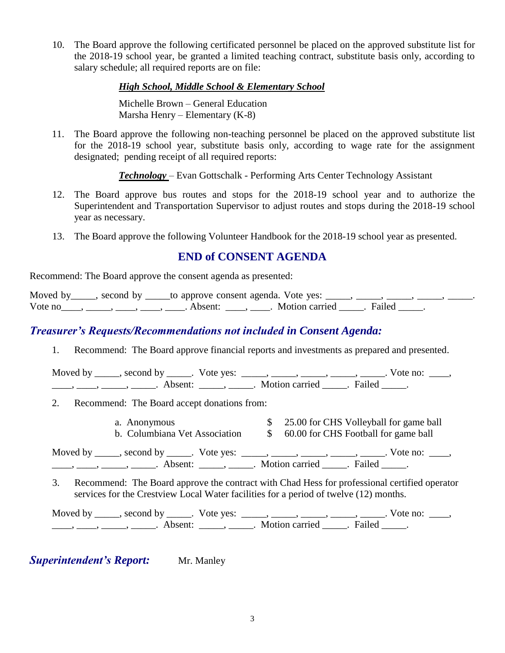10. The Board approve the following certificated personnel be placed on the approved substitute list for the 2018-19 school year, be granted a limited teaching contract, substitute basis only, according to salary schedule; all required reports are on file:

#### *High School, Middle School & Elementary School*

Michelle Brown – General Education Marsha Henry – Elementary (K-8)

11. The Board approve the following non-teaching personnel be placed on the approved substitute list for the 2018-19 school year, substitute basis only, according to wage rate for the assignment designated; pending receipt of all required reports:

*Technology* – Evan Gottschalk - Performing Arts Center Technology Assistant

- 12. The Board approve bus routes and stops for the 2018-19 school year and to authorize the Superintendent and Transportation Supervisor to adjust routes and stops during the 2018-19 school year as necessary.
- 13. The Board approve the following Volunteer Handbook for the 2018-19 school year as presented.

#### **END of CONSENT AGENDA**

Recommend: The Board approve the consent agenda as presented:

Moved by \_\_\_\_, second by \_\_\_\_\_to approve consent agenda. Vote yes: \_\_\_\_, \_ Vote no\_\_\_\_, \_\_\_\_, \_\_\_\_, \_\_\_\_, Absent: \_\_\_\_, \_\_\_\_. Motion carried \_\_\_\_\_. Failed \_\_\_\_\_.

## *Treasurer's Requests/Recommendations not included in Consent Agenda:*

1. Recommend: The Board approve financial reports and investments as prepared and presented.

Moved by \_\_\_\_\_, second by \_\_\_\_\_. Vote yes:  $\frac{1}{\sqrt{2}}$ , \_\_\_\_, \_\_\_\_, \_\_\_\_, \_\_\_\_. Vote no: \_\_\_, \_\_\_\_\_, \_\_\_\_\_\_, \_\_\_\_\_\_\_. Absent: \_\_\_\_\_\_, \_\_\_\_\_\_. Motion carried \_\_\_\_\_\_. Failed \_\_\_\_\_.

- 2. Recommend: The Board accept donations from:
	- a. Anonymous \$ 25.00 for CHS Volleyball for game ball
	- b. Columbiana Vet Association  $\qquad$  \$ 60.00 for CHS Football for game ball

Moved by \_\_\_\_\_, second by \_\_\_\_\_. Vote yes:  $\_\_\_\_\_\_\_\_\_\_\_\_\_\_\_$  \_\_\_\_\_, \_\_\_\_\_, \_\_\_\_\_. Vote no:  $\_\_\_\_\_\$ \_\_\_\_\_, \_\_\_\_\_\_, \_\_\_\_\_\_\_. Absent: \_\_\_\_\_\_, \_\_\_\_\_\_. Motion carried \_\_\_\_\_\_. Failed \_\_\_\_\_.

3. Recommend: The Board approve the contract with Chad Hess for professional certified operator services for the Crestview Local Water facilities for a period of twelve (12) months.

Moved by \_\_\_\_\_, second by \_\_\_\_\_. Vote yes: \_\_\_\_\_, \_\_\_\_\_, \_\_\_\_\_, \_\_\_\_\_, \_\_\_\_\_. Vote no: \_\_\_\_, \_\_\_\_, \_\_\_\_\_, \_\_\_\_\_\_\_. Absent: \_\_\_\_\_\_, \_\_\_\_\_. Motion carried \_\_\_\_\_. Failed \_\_\_\_\_.

**Superintendent's Report:** Mr. Manley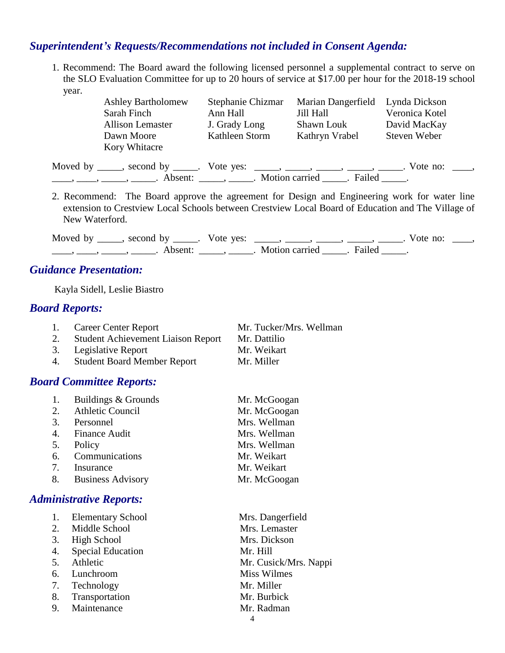# *Superintendent's Requests/Recommendations not included in Consent Agenda:*

1. Recommend: The Board award the following licensed personnel a supplemental contract to serve on the SLO Evaluation Committee for up to 20 hours of service at \$17.00 per hour for the 2018-19 school year.

| <b>Ashley Bartholomew</b>                                                                                                                                                                         | Stephanie Chizmar | Marian Dangerfield | Lynda Dickson  |
|---------------------------------------------------------------------------------------------------------------------------------------------------------------------------------------------------|-------------------|--------------------|----------------|
| Sarah Finch                                                                                                                                                                                       | Ann Hall          | Jill Hall          | Veronica Kotel |
| <b>Allison Lemaster</b>                                                                                                                                                                           | J. Grady Long     | Shawn Louk         | David MacKay   |
| Dawn Moore                                                                                                                                                                                        | Kathleen Storm    | Kathryn Vrabel     | Steven Weber   |
| Kory Whitacre                                                                                                                                                                                     |                   |                    |                |
| Moved by _____, second by _____. Vote yes: _____, _____, _____, _____, _____. Vote no: ____,<br>$\ldots, \ldots, \ldots, \ldots$ Absent: $\ldots, \ldots$ Motion carried $\ldots$ Failed $\ldots$ |                   |                    |                |
|                                                                                                                                                                                                   |                   |                    |                |

2. Recommend: The Board approve the agreement for Design and Engineering work for water line extension to Crestview Local Schools between Crestview Local Board of Education and The Village of New Waterford.

Moved by \_\_\_\_\_, second by \_\_\_\_\_. Vote yes: \_\_\_\_\_, \_\_\_\_\_, \_\_\_\_\_, \_\_\_\_\_, \_\_\_\_. Vote no: \_\_\_\_, \_\_\_\_\_, \_\_\_\_\_\_, \_\_\_\_\_\_\_. Absent: \_\_\_\_\_\_, \_\_\_\_\_\_. Motion carried \_\_\_\_\_\_. Failed \_\_\_\_\_.

# *Guidance Presentation:*

Kayla Sidell, Leslie Biastro

#### *Board Reports:*

| <b>Career Center Report</b>                                                       | Mr. Tucker/Mrs. Wellman |
|-----------------------------------------------------------------------------------|-------------------------|
| $\alpha_{\rm total}$ $\Lambda$ chiesement Liniang Denom $\Lambda_{\rm m}$ Dettiin |                         |

- 2. Student Achievement Liaison Report Mr. Dattilio
- 3. Legislative Report Mr. Weikart
- 4. Student Board Member Report Mr. Miller

#### *Board Committee Reports:*

|    | 1. Buildings & Grounds  | Mr. McGoogan |
|----|-------------------------|--------------|
| 2. | <b>Athletic Council</b> | Mr. McGoogan |
| 3. | Personnel               | Mrs. Wellman |
|    | 4. Finance Audit        | Mrs. Wellman |
| 5. | Policy                  | Mrs. Wellman |
| 6. | Communications          | Mr. Weikart  |
| 7. | Insurance               | Mr. Weikart  |
|    | 8. Business Advisory    | Mr. McGoogan |

#### *Administrative Reports:*

| 1. | <b>Elementary School</b> | Mrs. Dangerfield      |
|----|--------------------------|-----------------------|
| 2. | Middle School            | Mrs. Lemaster         |
| 3. | High School              | Mrs. Dickson          |
| 4. | <b>Special Education</b> | Mr. Hill              |
| 5. | Athletic                 | Mr. Cusick/Mrs. Nappi |
|    | 6. Lunchroom             | <b>Miss Wilmes</b>    |
|    | 7. Technology            | Mr. Miller            |
| 8. | Transportation           | Mr. Burbick           |
| 9. | Maintenance              | Mr. Radman            |
|    |                          | 4                     |